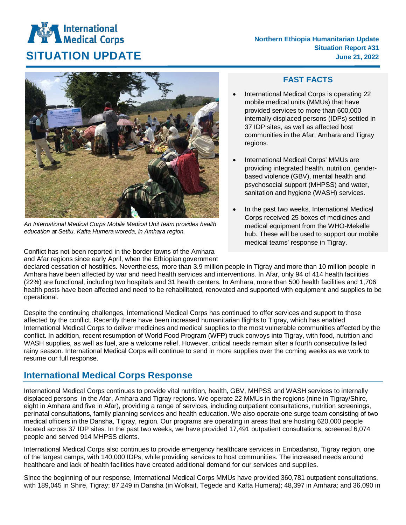## **International**<br>Medical Corps

**Northern Ethiopia Humanitarian Update Situation Report #31 SITUATION UPDATE** June 21, 2022



*An International Medical Corps Mobile Medical Unit team provides health education at Setitu, Kafta Humera woreda, in Amhara region.*

Conflict has not been reported in the border towns of the Amhara and Afar regions since early April, when the Ethiopian government

## **FAST FACTS**

- International Medical Corps is operating 22 mobile medical units (MMUs) that have provided services to more than 600,000 internally displaced persons (IDPs) settled in 37 IDP sites, as well as affected host communities in the Afar, Amhara and Tigray regions.
- International Medical Corps' MMUs are providing integrated health, nutrition, genderbased violence (GBV), mental health and psychosocial support (MHPSS) and water, sanitation and hygiene (WASH) services.
- In the past two weeks, International Medical Corps received 25 boxes of medicines and medical equipment from the WHO-Mekelle hub. These will be used to support our mobile medical teams' response in Tigray.

declared cessation of hostilities. Nevertheless, more than 3.9 million people in Tigray and more than 10 million people in Amhara have been affected by war and need health services and interventions. In Afar, only 94 of 414 health facilities (22%) are functional, including two hospitals and 31 health centers. In Amhara, more than 500 health facilities and 1,706 health posts have been affected and need to be rehabilitated, renovated and supported with equipment and supplies to be operational.

Despite the continuing challenges, International Medical Corps has continued to offer services and support to those affected by the conflict. Recently there have been increased humanitarian flights to Tigray, which has enabled International Medical Corps to deliver medicines and medical supplies to the most vulnerable communities affected by the conflict. In addition, recent resumption of World Food Program (WFP) truck convoys into Tigray, with food, nutrition and WASH supplies, as well as fuel, are a welcome relief. However, critical needs remain after a fourth consecutive failed rainy season. International Medical Corps will continue to send in more supplies over the coming weeks as we work to resume our full response.

## **International Medical Corps Response**

International Medical Corps continues to provide vital nutrition, health, GBV, MHPSS and WASH services to internally displaced persons in the Afar, Amhara and Tigray regions. We operate 22 MMUs in the regions (nine in Tigray/Shire, eight in Amhara and five in Afar), providing a range of services, including outpatient consultations, nutrition screenings, perinatal consultations, family planning services and health education. We also operate one surge team consisting of two medical officers in the Dansha, Tigray, region. Our programs are operating in areas that are hosting 620,000 people located across 37 IDP sites. In the past two weeks, we have provided 17,491 outpatient consultations, screened 6,074 people and served 914 MHPSS clients.

International Medical Corps also continues to provide emergency healthcare services in Embadanso, Tigray region, one of the largest camps, with 140,000 IDPs, while providing services to host communities. The increased needs around healthcare and lack of health facilities have created additional demand for our services and supplies.

Since the beginning of our response, International Medical Corps MMUs have provided 360,781 outpatient consultations, with 189,045 in Shire, Tigray; 87,249 in Dansha (in Wolkait, Tegede and Kafta Humera); 48,397 in Amhara; and 36,090 in